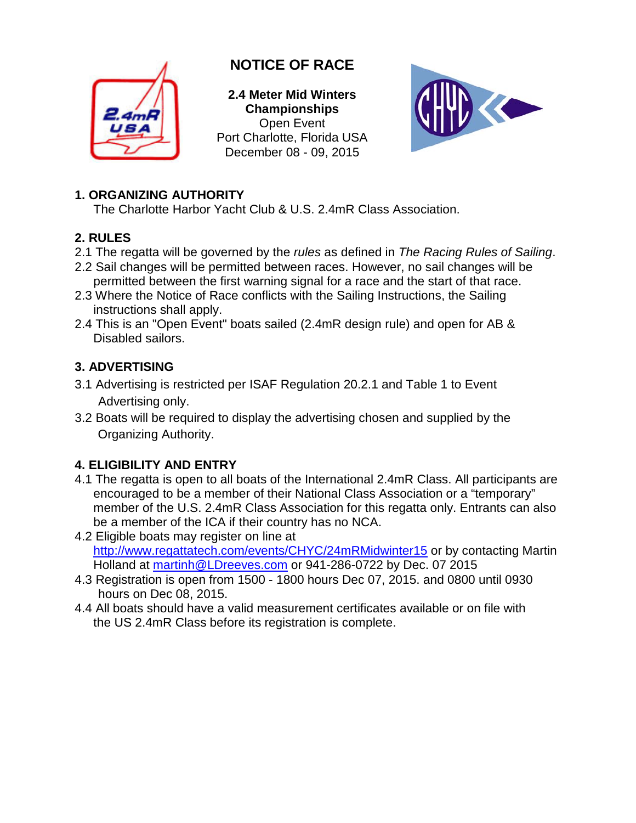

# **NOTICE OF RACE**

**2.4 Meter Mid Winters Championships** Open Event Port Charlotte, Florida USA December 08 - 09, 2015



## **1. ORGANIZING AUTHORITY**

The Charlotte Harbor Yacht Club & U.S. 2.4mR Class Association.

## **2. RULES**

- 2.1 The regatta will be governed by the *rules* as defined in *The Racing Rules of Sailing*.
- 2.2 Sail changes will be permitted between races. However, no sail changes will be permitted between the first warning signal for a race and the start of that race.
- 2.3 Where the Notice of Race conflicts with the Sailing Instructions, the Sailing instructions shall apply.
- 2.4 This is an "Open Event" boats sailed (2.4mR design rule) and open for AB & Disabled sailors.

## **3. ADVERTISING**

- 3.1 Advertising is restricted per ISAF Regulation 20.2.1 and Table 1 to Event Advertising only.
- 3.2 Boats will be required to display the advertising chosen and supplied by the Organizing Authority.

## **4. ELIGIBILITY AND ENTRY**

- 4.1 The regatta is open to all boats of the International 2.4mR Class. All participants are encouraged to be a member of their National Class Association or a "temporary" member of the U.S. 2.4mR Class Association for this regatta only. Entrants can also be a member of the ICA if their country has no NCA.
- 4.2 Eligible boats may register on line at <http://www.regattatech.com/events/CHYC/24mRMidwinter15> or by contacting Martin Holland at martinh@LDreeves.com or 941-286-0722 by Dec. 07 2015
- 4.3 Registration is open from 1500 1800 hours Dec 07, 2015. and 0800 until 0930 hours on Dec 08, 2015.
- 4.4 All boats should have a valid measurement certificates available or on file with the US 2.4mR Class before its registration is complete.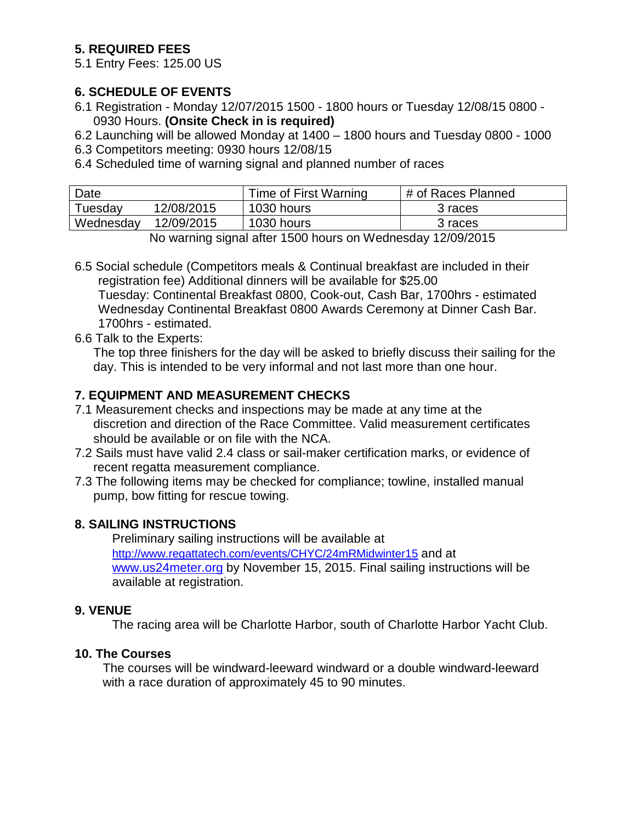### **5. REQUIRED FEES**

5.1 Entry Fees: 125.00 US

#### **6. SCHEDULE OF EVENTS**

- 6.1 Registration Monday 12/07/2015 1500 1800 hours or Tuesday 12/08/15 0800 0930 Hours. **(Onsite Check in is required)**
- 6.2 Launching will be allowed Monday at 1400 1800 hours and Tuesday 0800 1000
- 6.3 Competitors meeting: 0930 hours 12/08/15
- 6.4 Scheduled time of warning signal and planned number of races

| Date      |            | Time of First Warning | # of Races Planned |
|-----------|------------|-----------------------|--------------------|
| Tuesdav   | 12/08/2015 | 1030 hours            | 3 races            |
| Wednesday | 12/09/2015 | 1030 hours            | 3 races            |

No warning signal after 1500 hours on Wednesday 12/09/2015

6.5 Social schedule (Competitors meals & Continual breakfast are included in their registration fee) Additional dinners will be available for \$25.00 Tuesday: Continental Breakfast 0800, Cook-out, Cash Bar, 1700hrs - estimated Wednesday Continental Breakfast 0800 Awards Ceremony at Dinner Cash Bar. 1700hrs - estimated.

6.6 Talk to the Experts:

The top three finishers for the day will be asked to briefly discuss their sailing for the day. This is intended to be very informal and not last more than one hour.

### **7. EQUIPMENT AND MEASUREMENT CHECKS**

- 7.1 Measurement checks and inspections may be made at any time at the discretion and direction of the Race Committee. Valid measurement certificates should be available or on file with the NCA.
- 7.2 Sails must have valid 2.4 class or sail-maker certification marks, or evidence of recent regatta measurement compliance.
- 7.3 The following items may be checked for compliance; towline, installed manual pump, bow fitting for rescue towing.

### **8. SAILING INSTRUCTIONS**

Preliminary sailing instructions will be available at [http://www.regattatech.com/events/CHYC/24mRMidwinter15](http://www.regattatech.com/events/CHYC/24mRMidwinter14) and at www.us24meter.org by November 15, 2015. Final sailing instructions will be available at registration.

#### **9. VENUE**

The racing area will be Charlotte Harbor, south of Charlotte Harbor Yacht Club.

#### **10. The Courses**

The courses will be windward-leeward windward or a double windward-leeward with a race duration of approximately 45 to 90 minutes.